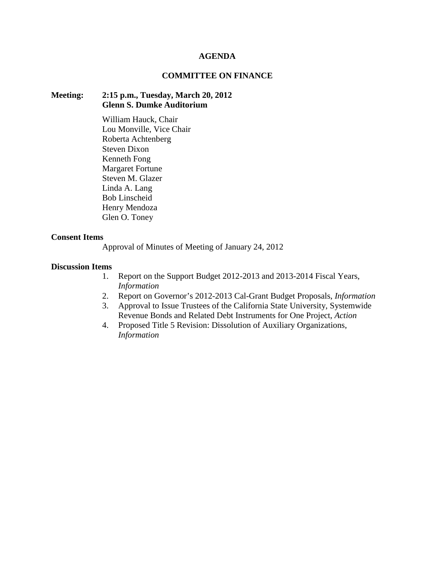#### **AGENDA**

# **COMMITTEE ON FINANCE**

### **Meeting: 2:15 p.m., Tuesday, March 20, 2012 Glenn S. Dumke Auditorium**

William Hauck, Chair Lou Monville, Vice Chair Roberta Achtenberg Steven Dixon Kenneth Fong Margaret Fortune Steven M. Glazer Linda A. Lang Bob Linscheid Henry Mendoza Glen O. Toney

#### **Consent Items**

Approval of Minutes of Meeting of January 24, 2012

#### **Discussion Items**

- 1. Report on the Support Budget 2012-2013 and 2013-2014 Fiscal Years, *Information*
- 2. Report on Governor's 2012-2013 Cal-Grant Budget Proposals, *Information*
- 3. Approval to Issue Trustees of the California State University, Systemwide Revenue Bonds and Related Debt Instruments for One Project, *Action*
- 4. Proposed Title 5 Revision: Dissolution of Auxiliary Organizations, *Information*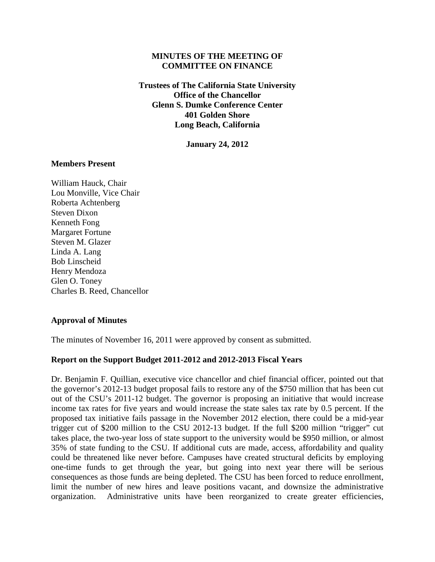# **MINUTES OF THE MEETING OF COMMITTEE ON FINANCE**

**Trustees of The California State University Office of the Chancellor Glenn S. Dumke Conference Center 401 Golden Shore Long Beach, California**

**January 24, 2012**

# **Members Present**

William Hauck, Chair Lou Monville, Vice Chair Roberta Achtenberg Steven Dixon Kenneth Fong Margaret Fortune Steven M. Glazer Linda A. Lang Bob Linscheid Henry Mendoza Glen O. Toney Charles B. Reed, Chancellor

#### **Approval of Minutes**

The minutes of November 16, 2011 were approved by consent as submitted.

#### **Report on the Support Budget 2011-2012 and 2012-2013 Fiscal Years**

Dr. Benjamin F. Quillian, executive vice chancellor and chief financial officer, pointed out that the governor's 2012-13 budget proposal fails to restore any of the \$750 million that has been cut out of the CSU's 2011-12 budget. The governor is proposing an initiative that would increase income tax rates for five years and would increase the state sales tax rate by 0.5 percent. If the proposed tax initiative fails passage in the November 2012 election, there could be a mid-year trigger cut of \$200 million to the CSU 2012-13 budget. If the full \$200 million "trigger" cut takes place, the two-year loss of state support to the university would be \$950 million, or almost 35% of state funding to the CSU. If additional cuts are made, access, affordability and quality could be threatened like never before. Campuses have created structural deficits by employing one-time funds to get through the year, but going into next year there will be serious consequences as those funds are being depleted. The CSU has been forced to reduce enrollment, limit the number of new hires and leave positions vacant, and downsize the administrative organization. Administrative units have been reorganized to create greater efficiencies,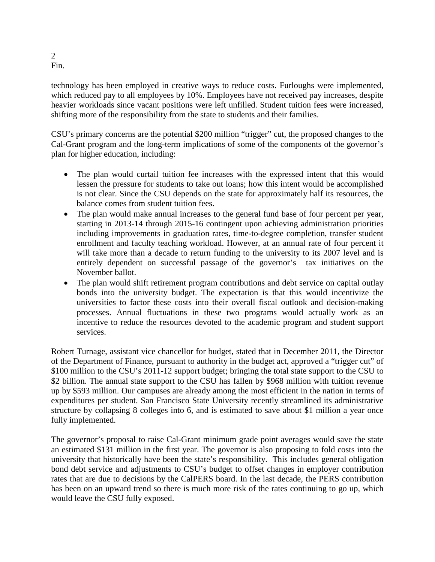technology has been employed in creative ways to reduce costs. Furloughs were implemented, which reduced pay to all employees by 10%. Employees have not received pay increases, despite heavier workloads since vacant positions were left unfilled. Student tuition fees were increased, shifting more of the responsibility from the state to students and their families.

CSU's primary concerns are the potential \$200 million "trigger" cut, the proposed changes to the Cal-Grant program and the long-term implications of some of the components of the governor's plan for higher education, including:

- The plan would curtail tuition fee increases with the expressed intent that this would lessen the pressure for students to take out loans; how this intent would be accomplished is not clear. Since the CSU depends on the state for approximately half its resources, the balance comes from student tuition fees.
- The plan would make annual increases to the general fund base of four percent per year, starting in 2013-14 through 2015-16 contingent upon achieving administration priorities including improvements in graduation rates, time-to-degree completion, transfer student enrollment and faculty teaching workload. However, at an annual rate of four percent it will take more than a decade to return funding to the university to its 2007 level and is entirely dependent on successful passage of the governor's tax initiatives on the November ballot.
- The plan would shift retirement program contributions and debt service on capital outlay bonds into the university budget. The expectation is that this would incentivize the universities to factor these costs into their overall fiscal outlook and decision-making processes. Annual fluctuations in these two programs would actually work as an incentive to reduce the resources devoted to the academic program and student support services.

Robert Turnage, assistant vice chancellor for budget, stated that in December 2011, the Director of the Department of Finance, pursuant to authority in the budget act, approved a "trigger cut" of \$100 million to the CSU's 2011-12 support budget; bringing the total state support to the CSU to \$2 billion. The annual state support to the CSU has fallen by \$968 million with tuition revenue up by \$593 million. Our campuses are already among the most efficient in the nation in terms of expenditures per student. San Francisco State University recently streamlined its administrative structure by collapsing 8 colleges into 6, and is estimated to save about \$1 million a year once fully implemented.

The governor's proposal to raise Cal-Grant minimum grade point averages would save the state an estimated \$131 million in the first year. The governor is also proposing to fold costs into the university that historically have been the state's responsibility. This includes general obligation bond debt service and adjustments to CSU's budget to offset changes in employer contribution rates that are due to decisions by the CalPERS board. In the last decade, the PERS contribution has been on an upward trend so there is much more risk of the rates continuing to go up, which would leave the CSU fully exposed.

2 Fin.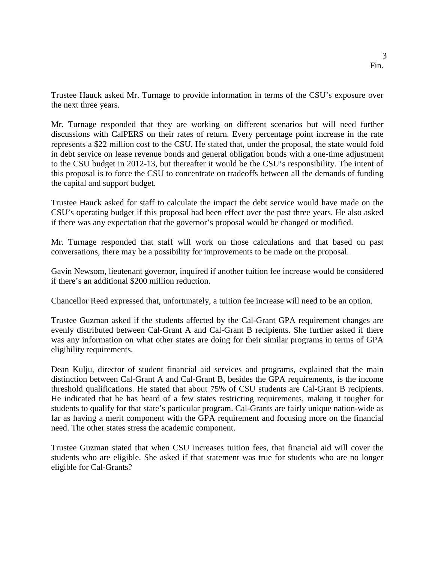Trustee Hauck asked Mr. Turnage to provide information in terms of the CSU's exposure over the next three years.

Mr. Turnage responded that they are working on different scenarios but will need further discussions with CalPERS on their rates of return. Every percentage point increase in the rate represents a \$22 million cost to the CSU. He stated that, under the proposal, the state would fold in debt service on lease revenue bonds and general obligation bonds with a one-time adjustment to the CSU budget in 2012-13, but thereafter it would be the CSU's responsibility. The intent of this proposal is to force the CSU to concentrate on tradeoffs between all the demands of funding the capital and support budget.

Trustee Hauck asked for staff to calculate the impact the debt service would have made on the CSU's operating budget if this proposal had been effect over the past three years. He also asked if there was any expectation that the governor's proposal would be changed or modified.

Mr. Turnage responded that staff will work on those calculations and that based on past conversations, there may be a possibility for improvements to be made on the proposal.

Gavin Newsom, lieutenant governor, inquired if another tuition fee increase would be considered if there's an additional \$200 million reduction.

Chancellor Reed expressed that, unfortunately, a tuition fee increase will need to be an option.

Trustee Guzman asked if the students affected by the Cal-Grant GPA requirement changes are evenly distributed between Cal-Grant A and Cal-Grant B recipients. She further asked if there was any information on what other states are doing for their similar programs in terms of GPA eligibility requirements.

Dean Kulju, director of student financial aid services and programs, explained that the main distinction between Cal-Grant A and Cal-Grant B, besides the GPA requirements, is the income threshold qualifications. He stated that about 75% of CSU students are Cal-Grant B recipients. He indicated that he has heard of a few states restricting requirements, making it tougher for students to qualify for that state's particular program. Cal-Grants are fairly unique nation-wide as far as having a merit component with the GPA requirement and focusing more on the financial need. The other states stress the academic component.

Trustee Guzman stated that when CSU increases tuition fees, that financial aid will cover the students who are eligible. She asked if that statement was true for students who are no longer eligible for Cal-Grants?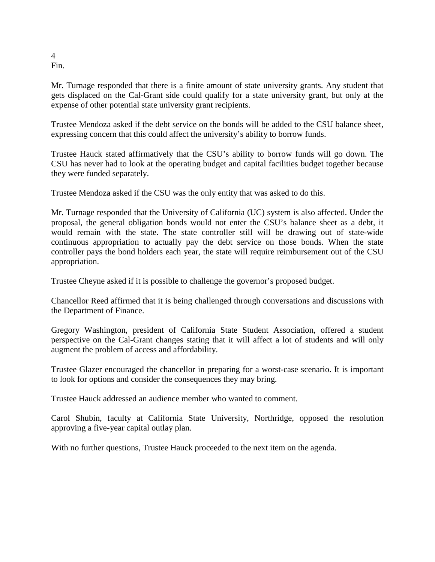4 Fin.

Mr. Turnage responded that there is a finite amount of state university grants. Any student that gets displaced on the Cal-Grant side could qualify for a state university grant, but only at the expense of other potential state university grant recipients.

Trustee Mendoza asked if the debt service on the bonds will be added to the CSU balance sheet, expressing concern that this could affect the university's ability to borrow funds.

Trustee Hauck stated affirmatively that the CSU's ability to borrow funds will go down. The CSU has never had to look at the operating budget and capital facilities budget together because they were funded separately.

Trustee Mendoza asked if the CSU was the only entity that was asked to do this.

Mr. Turnage responded that the University of California (UC) system is also affected. Under the proposal, the general obligation bonds would not enter the CSU's balance sheet as a debt, it would remain with the state. The state controller still will be drawing out of state-wide continuous appropriation to actually pay the debt service on those bonds. When the state controller pays the bond holders each year, the state will require reimbursement out of the CSU appropriation.

Trustee Cheyne asked if it is possible to challenge the governor's proposed budget.

Chancellor Reed affirmed that it is being challenged through conversations and discussions with the Department of Finance.

Gregory Washington, president of California State Student Association, offered a student perspective on the Cal-Grant changes stating that it will affect a lot of students and will only augment the problem of access and affordability.

Trustee Glazer encouraged the chancellor in preparing for a worst-case scenario. It is important to look for options and consider the consequences they may bring.

Trustee Hauck addressed an audience member who wanted to comment.

Carol Shubin, faculty at California State University, Northridge, opposed the resolution approving a five-year capital outlay plan.

With no further questions, Trustee Hauck proceeded to the next item on the agenda.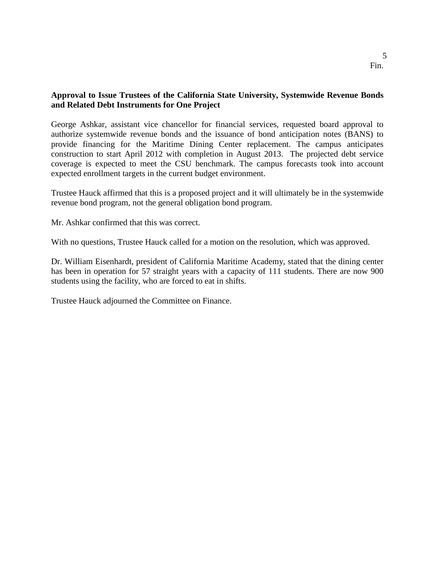# 5 Fin.

# **Approval to Issue Trustees of the California State University, Systemwide Revenue Bonds and Related Debt Instruments for One Project**

George Ashkar, assistant vice chancellor for financial services, requested board approval to authorize systemwide revenue bonds and the issuance of bond anticipation notes (BANS) to provide financing for the Maritime Dining Center replacement. The campus anticipates construction to start April 2012 with completion in August 2013. The projected debt service coverage is expected to meet the CSU benchmark. The campus forecasts took into account expected enrollment targets in the current budget environment.

Trustee Hauck affirmed that this is a proposed project and it will ultimately be in the systemwide revenue bond program, not the general obligation bond program.

Mr. Ashkar confirmed that this was correct.

With no questions, Trustee Hauck called for a motion on the resolution, which was approved.

Dr. William Eisenhardt, president of California Maritime Academy, stated that the dining center has been in operation for 57 straight years with a capacity of 111 students. There are now 900 students using the facility, who are forced to eat in shifts.

Trustee Hauck adjourned the Committee on Finance.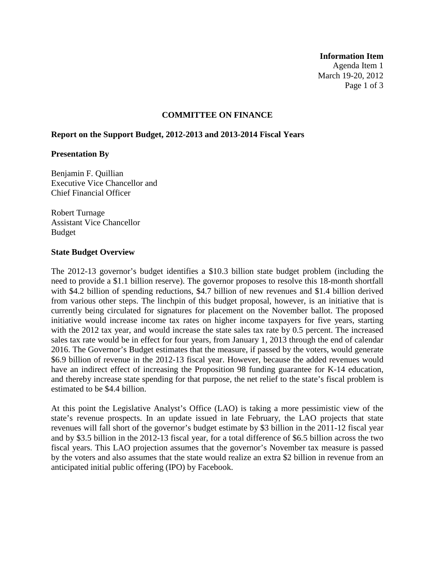#### **Information Item**

Agenda Item 1 March 19-20, 2012 Page 1 of 3

### **COMMITTEE ON FINANCE**

#### **Report on the Support Budget, 2012-2013 and 2013-2014 Fiscal Years**

#### **Presentation By**

Benjamin F. Quillian Executive Vice Chancellor and Chief Financial Officer

Robert Turnage Assistant Vice Chancellor Budget

#### **State Budget Overview**

The 2012-13 governor's budget identifies a \$10.3 billion state budget problem (including the need to provide a \$1.1 billion reserve). The governor proposes to resolve this 18-month shortfall with \$4.2 billion of spending reductions, \$4.7 billion of new revenues and \$1.4 billion derived from various other steps. The linchpin of this budget proposal, however, is an initiative that is currently being circulated for signatures for placement on the November ballot. The proposed initiative would increase income tax rates on higher income taxpayers for five years, starting with the 2012 tax year, and would increase the state sales tax rate by 0.5 percent. The increased sales tax rate would be in effect for four years, from January 1, 2013 through the end of calendar 2016. The Governor's Budget estimates that the measure, if passed by the voters, would generate \$6.9 billion of revenue in the 2012-13 fiscal year. However, because the added revenues would have an indirect effect of increasing the Proposition 98 funding guarantee for K-14 education, and thereby increase state spending for that purpose, the net relief to the state's fiscal problem is estimated to be \$4.4 billion.

At this point the Legislative Analyst's Office (LAO) is taking a more pessimistic view of the state's revenue prospects. In an update issued in late February, the LAO projects that state revenues will fall short of the governor's budget estimate by \$3 billion in the 2011-12 fiscal year and by \$3.5 billion in the 2012-13 fiscal year, for a total difference of \$6.5 billion across the two fiscal years. This LAO projection assumes that the governor's November tax measure is passed by the voters and also assumes that the state would realize an extra \$2 billion in revenue from an anticipated initial public offering (IPO) by Facebook.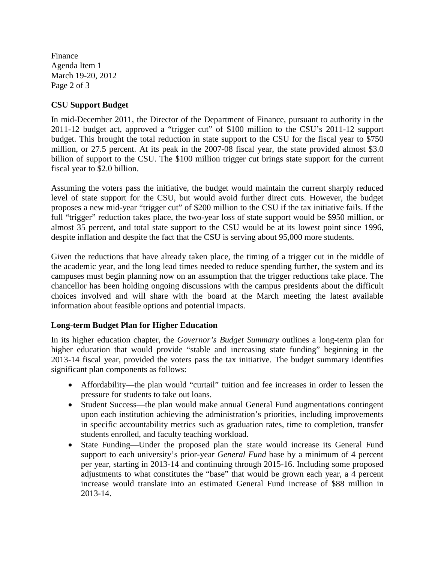Finance Agenda Item 1 March 19-20, 2012 Page 2 of 3

# **CSU Support Budget**

In mid-December 2011, the Director of the Department of Finance, pursuant to authority in the 2011-12 budget act, approved a "trigger cut" of \$100 million to the CSU's 2011-12 support budget. This brought the total reduction in state support to the CSU for the fiscal year to \$750 million, or 27.5 percent. At its peak in the 2007-08 fiscal year, the state provided almost \$3.0 billion of support to the CSU. The \$100 million trigger cut brings state support for the current fiscal year to \$2.0 billion.

Assuming the voters pass the initiative, the budget would maintain the current sharply reduced level of state support for the CSU, but would avoid further direct cuts. However, the budget proposes a new mid-year "trigger cut" of \$200 million to the CSU if the tax initiative fails. If the full "trigger" reduction takes place, the two-year loss of state support would be \$950 million, or almost 35 percent, and total state support to the CSU would be at its lowest point since 1996, despite inflation and despite the fact that the CSU is serving about 95,000 more students.

Given the reductions that have already taken place, the timing of a trigger cut in the middle of the academic year, and the long lead times needed to reduce spending further, the system and its campuses must begin planning now on an assumption that the trigger reductions take place. The chancellor has been holding ongoing discussions with the campus presidents about the difficult choices involved and will share with the board at the March meeting the latest available information about feasible options and potential impacts.

# **Long-term Budget Plan for Higher Education**

In its higher education chapter, the *Governor's Budget Summary* outlines a long-term plan for higher education that would provide "stable and increasing state funding" beginning in the 2013-14 fiscal year, provided the voters pass the tax initiative. The budget summary identifies significant plan components as follows:

- Affordability—the plan would "curtail" tuition and fee increases in order to lessen the pressure for students to take out loans.
- Student Success—the plan would make annual General Fund augmentations contingent upon each institution achieving the administration's priorities, including improvements in specific accountability metrics such as graduation rates, time to completion, transfer students enrolled, and faculty teaching workload.
- State Funding—Under the proposed plan the state would increase its General Fund support to each university's prior-year *General Fund* base by a minimum of 4 percent per year, starting in 2013-14 and continuing through 2015-16. Including some proposed adjustments to what constitutes the "base" that would be grown each year, a 4 percent increase would translate into an estimated General Fund increase of \$88 million in 2013-14.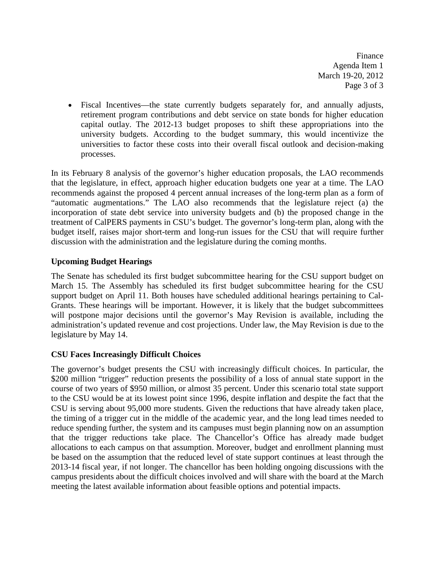Finance Agenda Item 1 March 19-20, 2012 Page 3 of 3

• Fiscal Incentives—the state currently budgets separately for, and annually adjusts, retirement program contributions and debt service on state bonds for higher education capital outlay. The 2012-13 budget proposes to shift these appropriations into the university budgets. According to the budget summary, this would incentivize the universities to factor these costs into their overall fiscal outlook and decision-making processes.

In its February 8 analysis of the governor's higher education proposals, the LAO recommends that the legislature, in effect, approach higher education budgets one year at a time. The LAO recommends against the proposed 4 percent annual increases of the long-term plan as a form of "automatic augmentations." The LAO also recommends that the legislature reject (a) the incorporation of state debt service into university budgets and (b) the proposed change in the treatment of CalPERS payments in CSU's budget. The governor's long-term plan, along with the budget itself, raises major short-term and long-run issues for the CSU that will require further discussion with the administration and the legislature during the coming months.

# **Upcoming Budget Hearings**

The Senate has scheduled its first budget subcommittee hearing for the CSU support budget on March 15. The Assembly has scheduled its first budget subcommittee hearing for the CSU support budget on April 11. Both houses have scheduled additional hearings pertaining to Cal-Grants. These hearings will be important. However, it is likely that the budget subcommittees will postpone major decisions until the governor's May Revision is available, including the administration's updated revenue and cost projections. Under law, the May Revision is due to the legislature by May 14.

# **CSU Faces Increasingly Difficult Choices**

The governor's budget presents the CSU with increasingly difficult choices. In particular, the \$200 million "trigger" reduction presents the possibility of a loss of annual state support in the course of two years of \$950 million, or almost 35 percent. Under this scenario total state support to the CSU would be at its lowest point since 1996, despite inflation and despite the fact that the CSU is serving about 95,000 more students. Given the reductions that have already taken place, the timing of a trigger cut in the middle of the academic year, and the long lead times needed to reduce spending further, the system and its campuses must begin planning now on an assumption that the trigger reductions take place. The Chancellor's Office has already made budget allocations to each campus on that assumption. Moreover, budget and enrollment planning must be based on the assumption that the reduced level of state support continues at least through the 2013-14 fiscal year, if not longer. The chancellor has been holding ongoing discussions with the campus presidents about the difficult choices involved and will share with the board at the March meeting the latest available information about feasible options and potential impacts.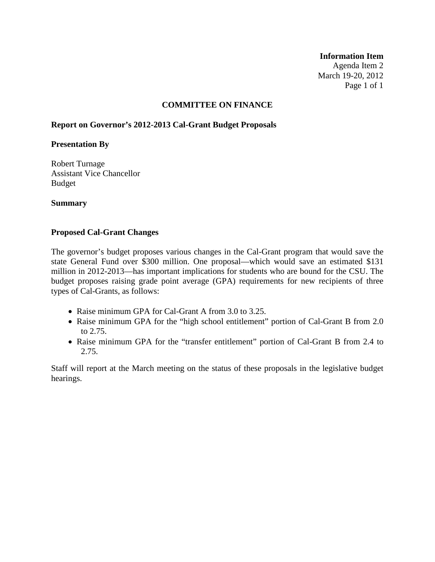**Information Item**  Agenda Item 2 March 19-20, 2012 Page 1 of 1

# **COMMITTEE ON FINANCE**

# **Report on Governor's 2012-2013 Cal-Grant Budget Proposals**

### **Presentation By**

Robert Turnage Assistant Vice Chancellor Budget

# **Summary**

### **Proposed Cal-Grant Changes**

The governor's budget proposes various changes in the Cal-Grant program that would save the state General Fund over \$300 million. One proposal—which would save an estimated \$131 million in 2012-2013—has important implications for students who are bound for the CSU. The budget proposes raising grade point average (GPA) requirements for new recipients of three types of Cal-Grants, as follows:

- Raise minimum GPA for Cal-Grant A from 3.0 to 3.25.
- Raise minimum GPA for the "high school entitlement" portion of Cal-Grant B from 2.0 to 2.75.
- Raise minimum GPA for the "transfer entitlement" portion of Cal-Grant B from 2.4 to 2.75.

Staff will report at the March meeting on the status of these proposals in the legislative budget hearings.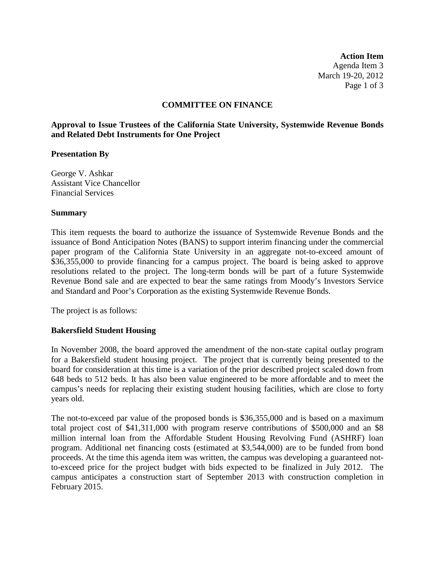**Action Item** Agenda Item 3 March 19-20, 2012 Page 1 of 3

### **COMMITTEE ON FINANCE**

**Approval to Issue Trustees of the California State University, Systemwide Revenue Bonds and Related Debt Instruments for One Project**

#### **Presentation By**

George V. Ashkar Assistant Vice Chancellor Financial Services

#### **Summary**

This item requests the board to authorize the issuance of Systemwide Revenue Bonds and the issuance of Bond Anticipation Notes (BANS) to support interim financing under the commercial paper program of the California State University in an aggregate not-to-exceed amount of \$36,355,000 to provide financing for a campus project. The board is being asked to approve resolutions related to the project. The long-term bonds will be part of a future Systemwide Revenue Bond sale and are expected to bear the same ratings from Moody's Investors Service and Standard and Poor's Corporation as the existing Systemwide Revenue Bonds.

The project is as follows:

#### **Bakersfield Student Housing**

In November 2008, the board approved the amendment of the non-state capital outlay program for a Bakersfield student housing project. The project that is currently being presented to the board for consideration at this time is a variation of the prior described project scaled down from 648 beds to 512 beds. It has also been value engineered to be more affordable and to meet the campus's needs for replacing their existing student housing facilities, which are close to forty years old.

The not-to-exceed par value of the proposed bonds is \$36,355,000 and is based on a maximum total project cost of \$41,311,000 with program reserve contributions of \$500,000 and an \$8 million internal loan from the Affordable Student Housing Revolving Fund (ASHRF) loan program. Additional net financing costs (estimated at \$3,544,000) are to be funded from bond proceeds. At the time this agenda item was written, the campus was developing a guaranteed notto-exceed price for the project budget with bids expected to be finalized in July 2012. The campus anticipates a construction start of September 2013 with construction completion in February 2015.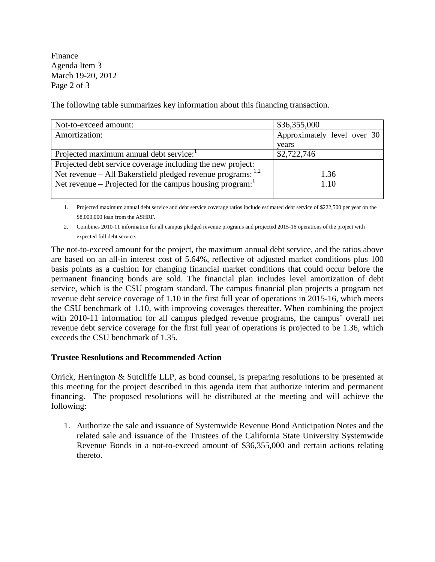Finance Agenda Item 3 March 19-20, 2012 Page 2 of 3

The following table summarizes key information about this financing transaction.

| Not-to-exceed amount:                                            | \$36,355,000                |
|------------------------------------------------------------------|-----------------------------|
| Amortization:                                                    | Approximately level over 30 |
|                                                                  | years                       |
| Projected maximum annual debt service:                           | \$2,722,746                 |
| Projected debt service coverage including the new project:       |                             |
| Net revenue – All Bakersfield pledged revenue programs: $^{1,2}$ | 1.36                        |
| Net revenue – Projected for the campus housing program:          | 1.10                        |
|                                                                  |                             |

1. Projected maximum annual debt service and debt service coverage ratios include estimated debt service of \$222,500 per year on the \$8,000,000 loan from the ASHRF.

2. Combines 2010-11 information for all campus pledged revenue programs and projected 2015-16 operations of the project with expected full debt service.

The not-to-exceed amount for the project, the maximum annual debt service, and the ratios above are based on an all-in interest cost of 5.64%, reflective of adjusted market conditions plus 100 basis points as a cushion for changing financial market conditions that could occur before the permanent financing bonds are sold. The financial plan includes level amortization of debt service, which is the CSU program standard. The campus financial plan projects a program net revenue debt service coverage of 1.10 in the first full year of operations in 2015-16, which meets the CSU benchmark of 1.10, with improving coverages thereafter. When combining the project with 2010-11 information for all campus pledged revenue programs, the campus' overall net revenue debt service coverage for the first full year of operations is projected to be 1.36, which exceeds the CSU benchmark of 1.35.

# **Trustee Resolutions and Recommended Action**

Orrick, Herrington & Sutcliffe LLP, as bond counsel, is preparing resolutions to be presented at this meeting for the project described in this agenda item that authorize interim and permanent financing. The proposed resolutions will be distributed at the meeting and will achieve the following:

1. Authorize the sale and issuance of Systemwide Revenue Bond Anticipation Notes and the related sale and issuance of the Trustees of the California State University Systemwide Revenue Bonds in a not-to-exceed amount of \$36,355,000 and certain actions relating thereto.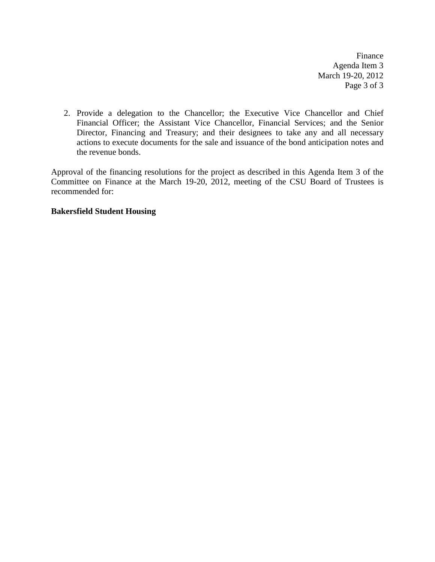Finance Agenda Item 3 March 19-20, 2012 Page 3 of 3

2. Provide a delegation to the Chancellor; the Executive Vice Chancellor and Chief Financial Officer; the Assistant Vice Chancellor, Financial Services; and the Senior Director, Financing and Treasury; and their designees to take any and all necessary actions to execute documents for the sale and issuance of the bond anticipation notes and the revenue bonds.

Approval of the financing resolutions for the project as described in this Agenda Item 3 of the Committee on Finance at the March 19-20, 2012, meeting of the CSU Board of Trustees is recommended for:

# **Bakersfield Student Housing**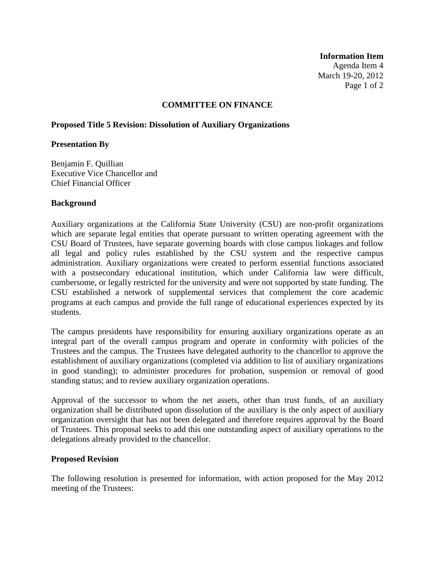**Information Item** Agenda Item 4 March 19-20, 2012 Page 1 of 2

# **COMMITTEE ON FINANCE**

# **Proposed Title 5 Revision: Dissolution of Auxiliary Organizations**

### **Presentation By**

Benjamin F. Quillian Executive Vice Chancellor and Chief Financial Officer

### **Background**

Auxiliary organizations at the California State University (CSU) are non-profit organizations which are separate legal entities that operate pursuant to written operating agreement with the CSU Board of Trustees, have separate governing boards with close campus linkages and follow all legal and policy rules established by the CSU system and the respective campus administration. Auxiliary organizations were created to perform essential functions associated with a postsecondary educational institution, which under California law were difficult, cumbersome, or legally restricted for the university and were not supported by state funding. The CSU established a network of supplemental services that complement the core academic programs at each campus and provide the full range of educational experiences expected by its students.

The campus presidents have responsibility for ensuring auxiliary organizations operate as an integral part of the overall campus program and operate in conformity with policies of the Trustees and the campus. The Trustees have delegated authority to the chancellor to approve the establishment of auxiliary organizations (completed via addition to list of auxiliary organizations in good standing); to administer procedures for probation, suspension or removal of good standing status; and to review auxiliary organization operations.

Approval of the successor to whom the net assets, other than trust funds, of an auxiliary organization shall be distributed upon dissolution of the auxiliary is the only aspect of auxiliary organization oversight that has not been delegated and therefore requires approval by the Board of Trustees. This proposal seeks to add this one outstanding aspect of auxiliary operations to the delegations already provided to the chancellor.

# **Proposed Revision**

The following resolution is presented for information, with action proposed for the May 2012 meeting of the Trustees: